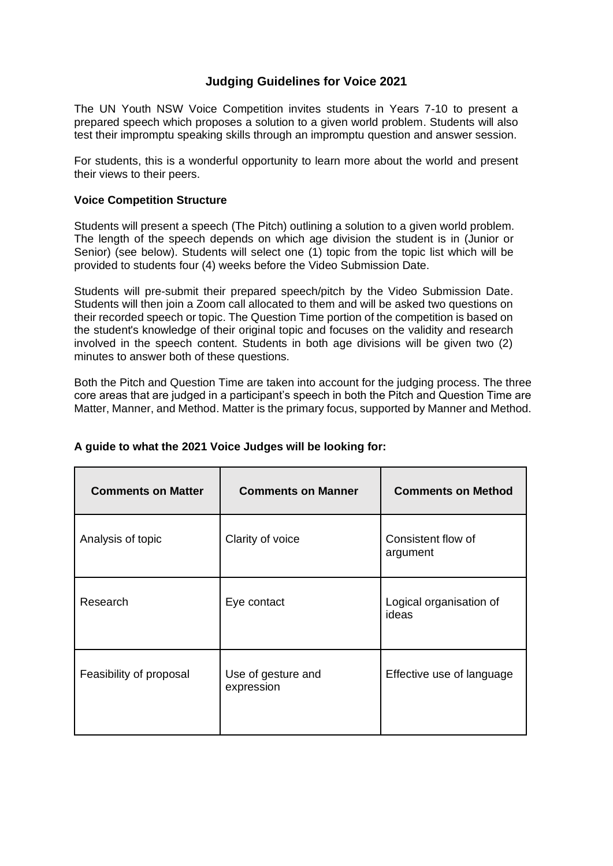# **Judging Guidelines for Voice 2021**

The UN Youth NSW Voice Competition invites students in Years 7-10 to present a prepared speech which proposes a solution to a given world problem. Students will also test their impromptu speaking skills through an impromptu question and answer session.

For students, this is a wonderful opportunity to learn more about the world and present their views to their peers.

#### **Voice Competition Structure**

Students will present a speech (The Pitch) outlining a solution to a given world problem. The length of the speech depends on which age division the student is in (Junior or Senior) (see below). Students will select one (1) topic from the topic list which will be provided to students four (4) weeks before the Video Submission Date.

Students will pre-submit their prepared speech/pitch by the Video Submission Date. Students will then join a Zoom call allocated to them and will be asked two questions on their recorded speech or topic. The Question Time portion of the competition is based on the student's knowledge of their original topic and focuses on the validity and research involved in the speech content. Students in both age divisions will be given two (2) minutes to answer both of these questions.

Both the Pitch and Question Time are taken into account for the judging process. The three core areas that are judged in a participant's speech in both the Pitch and Question Time are Matter, Manner, and Method. Matter is the primary focus, supported by Manner and Method.

| <b>Comments on Matter</b> | <b>Comments on Manner</b>        | <b>Comments on Method</b>        |
|---------------------------|----------------------------------|----------------------------------|
| Analysis of topic         | Clarity of voice                 | Consistent flow of<br>argument   |
| Research                  | Eye contact                      | Logical organisation of<br>ideas |
| Feasibility of proposal   | Use of gesture and<br>expression | Effective use of language        |

### **A guide to what the 2021 Voice Judges will be looking for:**